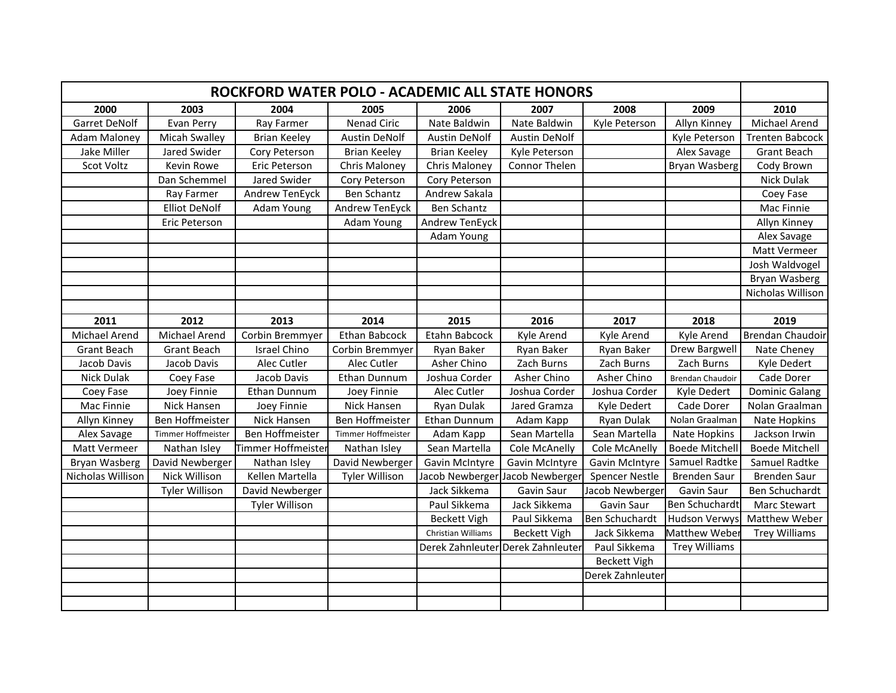|                     | ROCKFORD WATER POLO - ACADEMIC ALL STATE HONORS |                       |                     |                     |                                 |                       |                       |                        |  |
|---------------------|-------------------------------------------------|-----------------------|---------------------|---------------------|---------------------------------|-----------------------|-----------------------|------------------------|--|
| 2000                | 2003                                            | 2004                  | 2005                | 2006                | 2007                            | 2008                  | 2009                  | 2010                   |  |
| Garret DeNolf       | Evan Perry                                      | Ray Farmer            | Nenad Ciric         | Nate Baldwin        | Nate Baldwin                    | Kyle Peterson         | Allyn Kinney          | Michael Arend          |  |
| <b>Adam Maloney</b> | Micah Swalley                                   | <b>Brian Keeley</b>   | Austin DeNolf       | Austin DeNolf       | <b>Austin DeNolf</b>            |                       | Kyle Peterson         | <b>Trenten Babcock</b> |  |
| Jake Miller         | Jared Swider                                    | Cory Peterson         | <b>Brian Keeley</b> | <b>Brian Keeley</b> | Kyle Peterson                   |                       | Alex Savage           | <b>Grant Beach</b>     |  |
| Scot Voltz          | Kevin Rowe                                      | Eric Peterson         | Chris Maloney       | Chris Maloney       | Connor Thelen                   |                       | Bryan Wasberg         | Cody Brown             |  |
|                     | Dan Schemmel                                    | Jared Swider          | Cory Peterson       | Cory Peterson       |                                 |                       |                       | Nick Dulak             |  |
|                     | Ray Farmer                                      | Andrew TenEyck        | Ben Schantz         | Andrew Sakala       |                                 |                       |                       | Coey Fase              |  |
|                     | <b>Elliot DeNolf</b>                            | Adam Young            | Andrew TenEyck      | Ben Schantz         |                                 |                       |                       | Mac Finnie             |  |
|                     | Eric Peterson                                   |                       | Adam Young          | Andrew TenEyck      |                                 |                       |                       | Allyn Kinney           |  |
|                     |                                                 |                       |                     | Adam Young          |                                 |                       |                       | Alex Savage            |  |
|                     |                                                 |                       |                     |                     |                                 |                       |                       | Matt Vermeer           |  |
|                     |                                                 |                       |                     |                     |                                 |                       |                       | Josh Waldvogel         |  |
|                     |                                                 |                       |                     |                     |                                 |                       |                       | Bryan Wasberg          |  |
|                     |                                                 |                       |                     |                     |                                 |                       |                       | Nicholas Willison      |  |
|                     |                                                 |                       |                     |                     |                                 |                       |                       |                        |  |
| 2011                | 2012                                            | 2013                  | 2014                | 2015                | 2016                            | 2017                  | 2018                  | 2019                   |  |
| Michael Arend       | Michael Arend                                   | Corbin Bremmyer       | Ethan Babcock       | Etahn Babcock       | Kyle Arend                      | Kyle Arend            | Kyle Arend            | Brendan Chaudoir       |  |
| <b>Grant Beach</b>  | <b>Grant Beach</b>                              | <b>Israel Chino</b>   | Corbin Bremmyer     | Ryan Baker          | Ryan Baker                      | Ryan Baker            | Drew Bargwell         | Nate Cheney            |  |
| Jacob Davis         | Jacob Davis                                     | Alec Cutler           | Alec Cutler         | Asher Chino         | Zach Burns                      | Zach Burns            | Zach Burns            | Kyle Dedert            |  |
| Nick Dulak          | Coey Fase                                       | Jacob Davis           | Ethan Dunnum        | Joshua Corder       | Asher Chino                     | Asher Chino           | Brendan Chaudoir      | Cade Dorer             |  |
| Coey Fase           | Joey Finnie                                     | Ethan Dunnum          | Joey Finnie         | Alec Cutler         | Joshua Corder                   | Joshua Corder         | Kyle Dedert           | Dominic Galang         |  |
| Mac Finnie          | Nick Hansen                                     | Joey Finnie           | Nick Hansen         | Ryan Dulak          | Jared Gramza                    | Kyle Dedert           | Cade Dorer            | Nolan Graalman         |  |
| Allyn Kinney        | Ben Hoffmeister                                 | Nick Hansen           | Ben Hoffmeister     | Ethan Dunnum        | Adam Kapp                       | Ryan Dulak            | Nolan Graalman        | Nate Hopkins           |  |
| Alex Savage         | Timmer Hoffmeister                              | Ben Hoffmeister       | Timmer Hoffmeister  | Adam Kapp           | Sean Martella                   | Sean Martella         | Nate Hopkins          | Jackson Irwin          |  |
| Matt Vermeer        | Nathan Isley                                    | Timmer Hoffmeister    | Nathan Isley        | Sean Martella       | <b>Cole McAnelly</b>            | Cole McAnelly         | <b>Boede Mitchell</b> | <b>Boede Mitchell</b>  |  |
| Bryan Wasberg       | David Newberger                                 | Nathan Isley          | David Newberger     | Gavin McIntyre      | Gavin McIntyre                  | Gavin McIntyre        | Samuel Radtke         | Samuel Radtke          |  |
| Nicholas Willison   | Nick Willison                                   | Kellen Martella       | Tyler Willison      |                     | Jacob Newberger Jacob Newberger | <b>Spencer Nestle</b> | <b>Brenden Saur</b>   | <b>Brenden Saur</b>    |  |
|                     | <b>Tyler Willison</b>                           | David Newberger       |                     | Jack Sikkema        | Gavin Saur                      | Jacob Newberger       | Gavin Saur            | Ben Schuchardt         |  |
|                     |                                                 | <b>Tyler Willison</b> |                     | Paul Sikkema        | Jack Sikkema                    | Gavin Saur            | Ben Schuchardt        | Marc Stewart           |  |
|                     |                                                 |                       |                     | <b>Beckett Vigh</b> | Paul Sikkema                    | Ben Schuchardt        | <b>Hudson Verwys</b>  | Matthew Weber          |  |
|                     |                                                 |                       |                     | Christian Williams  | <b>Beckett Vigh</b>             | Jack Sikkema          | <b>Matthew Weber</b>  | <b>Trey Williams</b>   |  |
|                     |                                                 |                       |                     | Derek Zahnleuter    | Derek Zahnleuter                | Paul Sikkema          | <b>Trey Williams</b>  |                        |  |
|                     |                                                 |                       |                     |                     |                                 | <b>Beckett Vigh</b>   |                       |                        |  |
|                     |                                                 |                       |                     |                     |                                 | Derek Zahnleuter      |                       |                        |  |
|                     |                                                 |                       |                     |                     |                                 |                       |                       |                        |  |
|                     |                                                 |                       |                     |                     |                                 |                       |                       |                        |  |